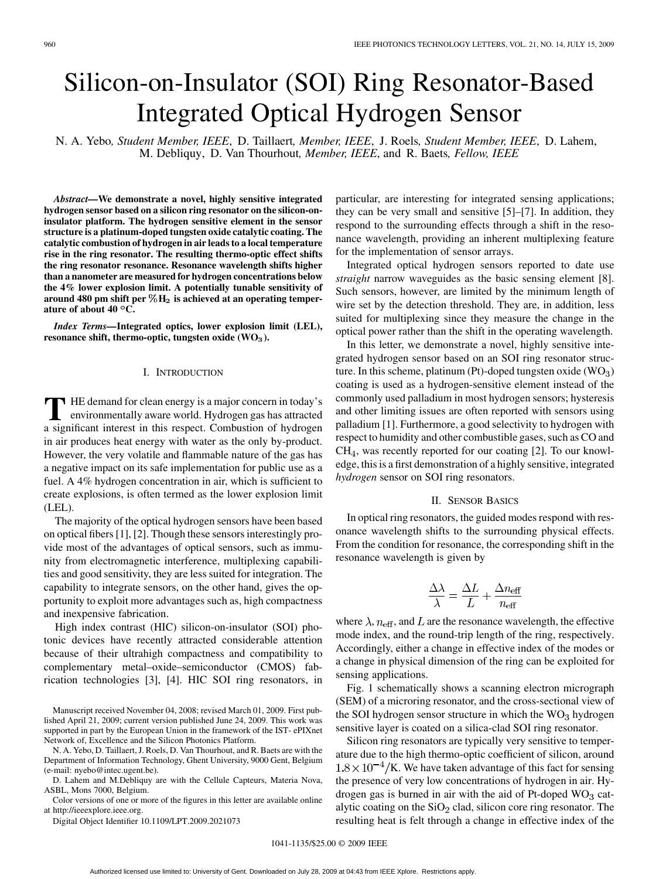# Silicon-on-Insulator (SOI) Ring Resonator-Based Integrated Optical Hydrogen Sensor

N. A. Yebo*, Student Member, IEEE*, D. Taillaert*, Member, IEEE*, J. Roels*, Student Member, IEEE*, D. Lahem, M. Debliquy, D. Van Thourhout*, Member, IEEE*, and R. Baets*, Fellow, IEEE*

*Abstract—***We demonstrate a novel, highly sensitive integrated hydrogen sensor based on a silicon ring resonator on the silicon-oninsulator platform. The hydrogen sensitive element in the sensor structure is a platinum-doped tungsten oxide catalytic coating. The catalytic combustion of hydrogen in air leads to a local temperature rise in the ring resonator. The resulting thermo-optic effect shifts the ring resonator resonance. Resonance wavelength shifts higher than a nanometer are measured for hydrogen concentrations below the 4% lower explosion limit. A potentially tunable sensitivity of** around 480 pm shift per  $\%$ H<sub>2</sub> is achieved at an operating temper**ature of about 40 C.**

*Index Terms—***Integrated optics, lower explosion limit (LEL),** resonance shift, thermo-optic, tungsten oxide (WO<sub>3</sub>).

## I. INTRODUCTION

**T** HE demand for clean energy is a major concern in today's environmentally aware world. Hydrogen gas has attracted a significant interest in this respect. Combustion of hydrogen in air produces heat energy with water as the only by-product. However, the very volatile and flammable nature of the gas has a negative impact on its safe implementation for public use as a fuel. A 4% hydrogen concentration in air, which is sufficient to create explosions, is often termed as the lower explosion limit (LEL).

The majority of the optical hydrogen sensors have been based on optical fibers [1], [2]. Though these sensors interestingly provide most of the advantages of optical sensors, such as immunity from electromagnetic interference, multiplexing capabilities and good sensitivity, they are less suited for integration. The capability to integrate sensors, on the other hand, gives the opportunity to exploit more advantages such as, high compactness and inexpensive fabrication.

High index contrast (HIC) silicon-on-insulator (SOI) photonic devices have recently attracted considerable attention because of their ultrahigh compactness and compatibility to complementary metal–oxide–semiconductor (CMOS) fabrication technologies [3], [4]. HIC SOI ring resonators, in

Manuscript received November 04, 2008; revised March 01, 2009. First published April 21, 2009; current version published June 24, 2009. This work was supported in part by the European Union in the framework of the IST- ePIXnet Network of, Excellence and the Silicon Photonics Platform.

N. A. Yebo, D. Taillaert, J. Roels, D. Van Thourhout, and R. Baets are with the Department of Information Technology, Ghent University, 9000 Gent, Belgium (e-mail: nyebo@intec.ugent.be).

D. Lahem and M.Debliquy are with the Cellule Capteurs, Materia Nova, ASBL, Mons 7000, Belgium.

Color versions of one or more of the figures in this letter are available online at http://ieeexplore.ieee.org.

Digital Object Identifier 10.1109/LPT.2009.2021073

particular, are interesting for integrated sensing applications; they can be very small and sensitive [5]–[7]. In addition, they respond to the surrounding effects through a shift in the resonance wavelength, providing an inherent multiplexing feature for the implementation of sensor arrays.

Integrated optical hydrogen sensors reported to date use *straight* narrow waveguides as the basic sensing element [8]. Such sensors, however, are limited by the minimum length of wire set by the detection threshold. They are, in addition, less suited for multiplexing since they measure the change in the optical power rather than the shift in the operating wavelength.

In this letter, we demonstrate a novel, highly sensitive integrated hydrogen sensor based on an SOI ring resonator structure. In this scheme, platinum (Pt)-doped tungsten oxide  $(WO_3)$ coating is used as a hydrogen-sensitive element instead of the commonly used palladium in most hydrogen sensors; hysteresis and other limiting issues are often reported with sensors using palladium [1]. Furthermore, a good selectivity to hydrogen with respect to humidity and other combustible gases, such as CO and  $CH<sub>4</sub>$ , was recently reported for our coating [2]. To our knowledge, this is a first demonstration of a highly sensitive, integrated *hydrogen* sensor on SOI ring resonators.

## II. SENSOR BASICS

In optical ring resonators, the guided modes respond with resonance wavelength shifts to the surrounding physical effects. From the condition for resonance, the corresponding shift in the resonance wavelength is given by

$$
\frac{\Delta\lambda}{\lambda} = \frac{\Delta L}{L} + \frac{\Delta n_{\text{eff}}}{n_{\text{eff}}}
$$

where  $\lambda$ ,  $n_{\text{eff}}$ , and L are the resonance wavelength, the effective mode index, and the round-trip length of the ring, respectively. Accordingly, either a change in effective index of the modes or a change in physical dimension of the ring can be exploited for sensing applications.

Fig. 1 schematically shows a scanning electron micrograph (SEM) of a microring resonator, and the cross-sectional view of the SOI hydrogen sensor structure in which the  $WO<sub>3</sub>$  hydrogen sensitive layer is coated on a silica-clad SOI ring resonator.

Silicon ring resonators are typically very sensitive to temperature due to the high thermo-optic coefficient of silicon, around  $1.8 \times 10^{-4}$ /K. We have taken advantage of this fact for sensing the presence of very low concentrations of hydrogen in air. Hydrogen gas is burned in air with the aid of Pt-doped  $WO<sub>3</sub>$  catalytic coating on the  $SiO<sub>2</sub>$  clad, silicon core ring resonator. The resulting heat is felt through a change in effective index of the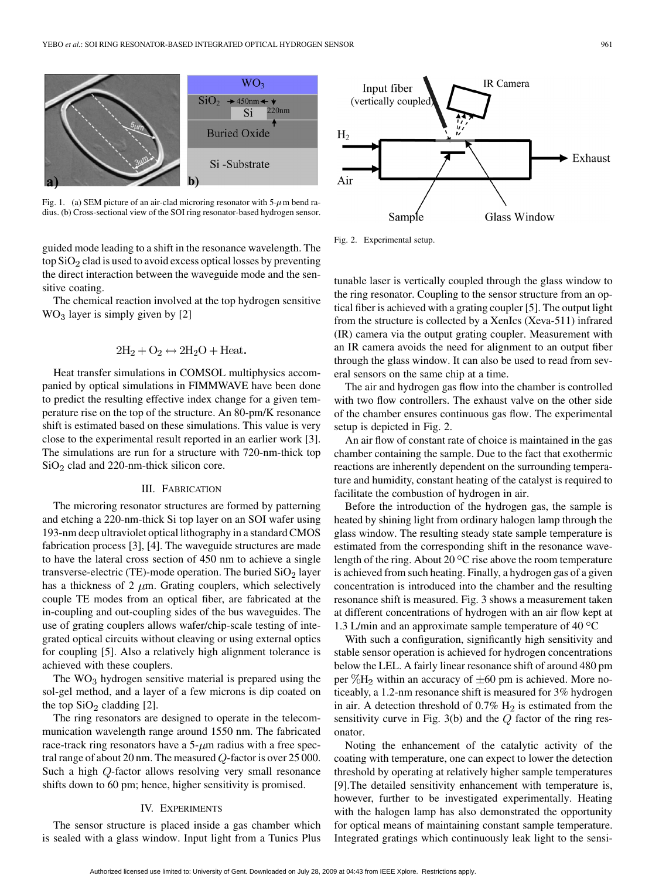

Fig. 1. (a) SEM picture of an air-clad microring resonator with  $5-\mu$ m bend radius. (b) Cross-sectional view of the SOI ring resonator-based hydrogen sensor.

guided mode leading to a shift in the resonance wavelength. The top  $SiO<sub>2</sub>$  clad is used to avoid excess optical losses by preventing the direct interaction between the waveguide mode and the sensitive coating.

The chemical reaction involved at the top hydrogen sensitive  $WO<sub>3</sub> layer is simply given by [2]$ 

$$
2H_2 + O_2 \leftrightarrow 2H_2O + Heat.
$$

Heat transfer simulations in COMSOL multiphysics accompanied by optical simulations in FIMMWAVE have been done to predict the resulting effective index change for a given temperature rise on the top of the structure. An 80-pm/K resonance shift is estimated based on these simulations. This value is very close to the experimental result reported in an earlier work [3]. The simulations are run for a structure with 720-nm-thick top  $SiO<sub>2</sub>$  clad and 220-nm-thick silicon core.

### III. FABRICATION

The microring resonator structures are formed by patterning and etching a 220-nm-thick Si top layer on an SOI wafer using 193-nm deep ultraviolet optical lithography in a standard CMOS fabrication process [3], [4]. The waveguide structures are made to have the lateral cross section of 450 nm to achieve a single transverse-electric (TE)-mode operation. The buried  $SiO<sub>2</sub>$  layer has a thickness of 2  $\mu$ m. Grating couplers, which selectively couple TE modes from an optical fiber, are fabricated at the in-coupling and out-coupling sides of the bus waveguides. The use of grating couplers allows wafer/chip-scale testing of integrated optical circuits without cleaving or using external optics for coupling [5]. Also a relatively high alignment tolerance is achieved with these couplers.

The  $WO<sub>3</sub>$  hydrogen sensitive material is prepared using the sol-gel method, and a layer of a few microns is dip coated on the top  $SiO<sub>2</sub>$  cladding [2].

The ring resonators are designed to operate in the telecommunication wavelength range around 1550 nm. The fabricated race-track ring resonators have a  $5-\mu m$  radius with a free spectral range of about 20 nm. The measured  $Q$ -factor is over 25 000. Such a high  $Q$ -factor allows resolving very small resonance shifts down to 60 pm; hence, higher sensitivity is promised.

### IV. EXPERIMENTS

The sensor structure is placed inside a gas chamber which is sealed with a glass window. Input light from a Tunics Plus



Fig. 2. Experimental setup.

tunable laser is vertically coupled through the glass window to the ring resonator. Coupling to the sensor structure from an optical fiber is achieved with a grating coupler [5]. The output light from the structure is collected by a XenIcs (Xeva-511) infrared (IR) camera via the output grating coupler. Measurement with an IR camera avoids the need for alignment to an output fiber through the glass window. It can also be used to read from several sensors on the same chip at a time.

The air and hydrogen gas flow into the chamber is controlled with two flow controllers. The exhaust valve on the other side of the chamber ensures continuous gas flow. The experimental setup is depicted in Fig. 2.

An air flow of constant rate of choice is maintained in the gas chamber containing the sample. Due to the fact that exothermic reactions are inherently dependent on the surrounding temperature and humidity, constant heating of the catalyst is required to facilitate the combustion of hydrogen in air.

Before the introduction of the hydrogen gas, the sample is heated by shining light from ordinary halogen lamp through the glass window. The resulting steady state sample temperature is estimated from the corresponding shift in the resonance wavelength of the ring. About 20  $\mathrm{^{\circ}C}$  rise above the room temperature is achieved from such heating. Finally, a hydrogen gas of a given concentration is introduced into the chamber and the resulting resonance shift is measured. Fig. 3 shows a measurement taken at different concentrations of hydrogen with an air flow kept at 1.3 L/min and an approximate sample temperature of 40  $^{\circ}$ C

With such a configuration, significantly high sensitivity and stable sensor operation is achieved for hydrogen concentrations below the LEL. A fairly linear resonance shift of around 480 pm per  $\%$ H<sub>2</sub> within an accuracy of  $\pm 60$  pm is achieved. More noticeably, a 1.2-nm resonance shift is measured for 3% hydrogen in air. A detection threshold of  $0.7\%$  H<sub>2</sub> is estimated from the sensitivity curve in Fig.  $3(b)$  and the  $Q$  factor of the ring resonator.

Noting the enhancement of the catalytic activity of the coating with temperature, one can expect to lower the detection threshold by operating at relatively higher sample temperatures [9].The detailed sensitivity enhancement with temperature is, however, further to be investigated experimentally. Heating with the halogen lamp has also demonstrated the opportunity for optical means of maintaining constant sample temperature. Integrated gratings which continuously leak light to the sensi-